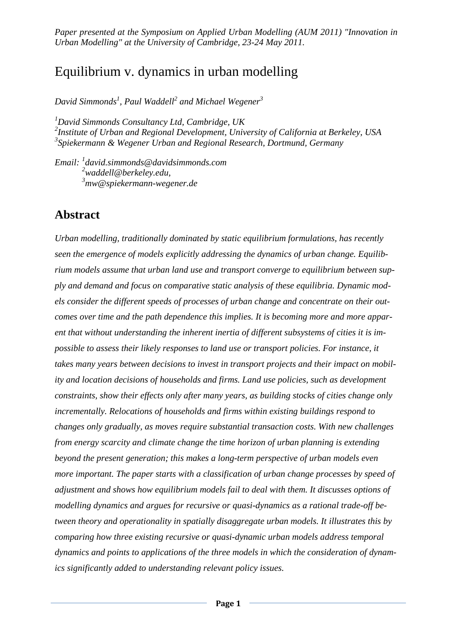*Paper presented at the Symposium on Applied Urban Modelling (AUM 2011) "Innovation in Urban Modelling" at the University of Cambridge, 23-24 May 2011.* 

## Equilibrium v. dynamics in urban modelling

*David Simmonds<sup>1</sup> , Paul Waddell<sup>2</sup> and Michael Wegener<sup>3</sup>*

*<sup>1</sup>David Simmonds Consultancy Ltd, Cambridge, UK 2 Institute of Urban and Regional Development, University of California at Berkeley, USA 3 Spiekermann & Wegener Urban and Regional Research, Dortmund, Germany* 

*Email: <sup>1</sup> david.simmonds@davidsimmonds.com <sup>2</sup>waddell@berkeley.edu, <sup>3</sup>mw@spiekermann-wegener.de* 

### **Abstract**

*Urban modelling, traditionally dominated by static equilibrium formulations, has recently seen the emergence of models explicitly addressing the dynamics of urban change. Equilibrium models assume that urban land use and transport converge to equilibrium between supply and demand and focus on comparative static analysis of these equilibria. Dynamic models consider the different speeds of processes of urban change and concentrate on their outcomes over time and the path dependence this implies. It is becoming more and more apparent that without understanding the inherent inertia of different subsystems of cities it is impossible to assess their likely responses to land use or transport policies. For instance, it takes many years between decisions to invest in transport projects and their impact on mobility and location decisions of households and firms. Land use policies, such as development constraints, show their effects only after many years, as building stocks of cities change only incrementally. Relocations of households and firms within existing buildings respond to changes only gradually, as moves require substantial transaction costs. With new challenges from energy scarcity and climate change the time horizon of urban planning is extending beyond the present generation; this makes a long-term perspective of urban models even more important. The paper starts with a classification of urban change processes by speed of adjustment and shows how equilibrium models fail to deal with them. It discusses options of modelling dynamics and argues for recursive or quasi-dynamics as a rational trade-off between theory and operationality in spatially disaggregate urban models. It illustrates this by comparing how three existing recursive or quasi-dynamic urban models address temporal dynamics and points to applications of the three models in which the consideration of dynamics significantly added to understanding relevant policy issues.*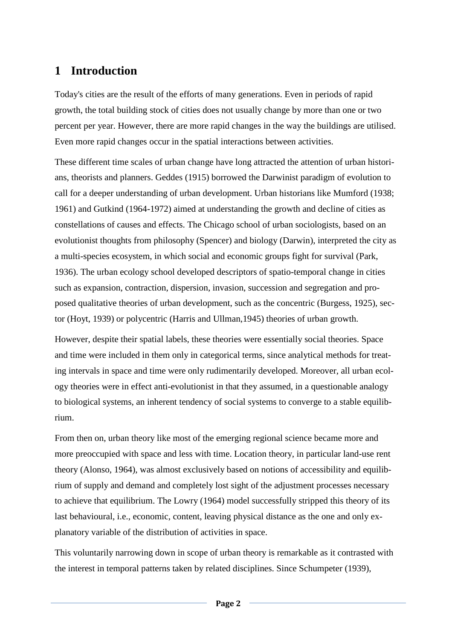## **1 Introduction**

Today's cities are the result of the efforts of many generations. Even in periods of rapid growth, the total building stock of cities does not usually change by more than one or two percent per year. However, there are more rapid changes in the way the buildings are utilised. Even more rapid changes occur in the spatial interactions between activities.

These different time scales of urban change have long attracted the attention of urban historians, theorists and planners. Geddes (1915) borrowed the Darwinist paradigm of evolution to call for a deeper understanding of urban development. Urban historians like Mumford (1938; 1961) and Gutkind (1964-1972) aimed at understanding the growth and decline of cities as constellations of causes and effects. The Chicago school of urban sociologists, based on an evolutionist thoughts from philosophy (Spencer) and biology (Darwin), interpreted the city as a multi-species ecosystem, in which social and economic groups fight for survival (Park, 1936). The urban ecology school developed descriptors of spatio-temporal change in cities such as expansion, contraction, dispersion, invasion, succession and segregation and proposed qualitative theories of urban development, such as the concentric (Burgess, 1925), sector (Hoyt, 1939) or polycentric (Harris and Ullman,1945) theories of urban growth.

However, despite their spatial labels, these theories were essentially social theories. Space and time were included in them only in categorical terms, since analytical methods for treating intervals in space and time were only rudimentarily developed. Moreover, all urban ecology theories were in effect anti-evolutionist in that they assumed, in a questionable analogy to biological systems, an inherent tendency of social systems to converge to a stable equilibrium.

From then on, urban theory like most of the emerging regional science became more and more preoccupied with space and less with time. Location theory, in particular land-use rent theory (Alonso, 1964), was almost exclusively based on notions of accessibility and equilibrium of supply and demand and completely lost sight of the adjustment processes necessary to achieve that equilibrium. The Lowry (1964) model successfully stripped this theory of its last behavioural, i.e., economic, content, leaving physical distance as the one and only explanatory variable of the distribution of activities in space.

This voluntarily narrowing down in scope of urban theory is remarkable as it contrasted with the interest in temporal patterns taken by related disciplines. Since Schumpeter (1939),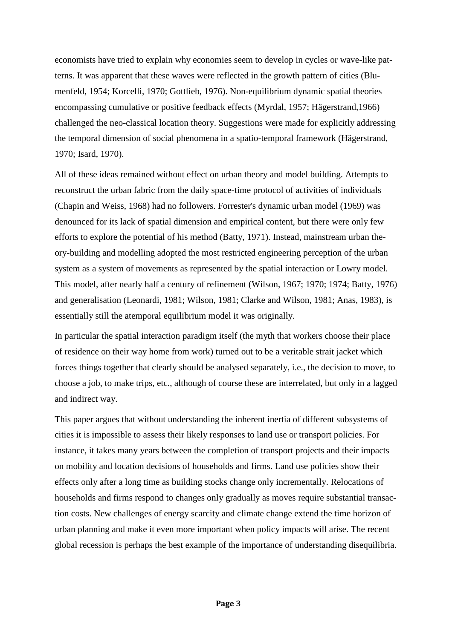economists have tried to explain why economies seem to develop in cycles or wave-like patterns. It was apparent that these waves were reflected in the growth pattern of cities (Blumenfeld, 1954; Korcelli, 1970; Gottlieb, 1976). Non-equilibrium dynamic spatial theories encompassing cumulative or positive feedback effects (Myrdal, 1957; Hägerstrand,1966) challenged the neo-classical location theory. Suggestions were made for explicitly addressing the temporal dimension of social phenomena in a spatio-temporal framework (Hägerstrand, 1970; Isard, 1970).

All of these ideas remained without effect on urban theory and model building. Attempts to reconstruct the urban fabric from the daily space-time protocol of activities of individuals (Chapin and Weiss, 1968) had no followers. Forrester's dynamic urban model (1969) was denounced for its lack of spatial dimension and empirical content, but there were only few efforts to explore the potential of his method (Batty, 1971). Instead, mainstream urban theory-building and modelling adopted the most restricted engineering perception of the urban system as a system of movements as represented by the spatial interaction or Lowry model. This model, after nearly half a century of refinement (Wilson, 1967; 1970; 1974; Batty, 1976) and generalisation (Leonardi, 1981; Wilson, 1981; Clarke and Wilson, 1981; Anas, 1983), is essentially still the atemporal equilibrium model it was originally.

In particular the spatial interaction paradigm itself (the myth that workers choose their place of residence on their way home from work) turned out to be a veritable strait jacket which forces things together that clearly should be analysed separately, i.e., the decision to move, to choose a job, to make trips, etc., although of course these are interrelated, but only in a lagged and indirect way.

This paper argues that without understanding the inherent inertia of different subsystems of cities it is impossible to assess their likely responses to land use or transport policies. For instance, it takes many years between the completion of transport projects and their impacts on mobility and location decisions of households and firms. Land use policies show their effects only after a long time as building stocks change only incrementally. Relocations of households and firms respond to changes only gradually as moves require substantial transaction costs. New challenges of energy scarcity and climate change extend the time horizon of urban planning and make it even more important when policy impacts will arise. The recent global recession is perhaps the best example of the importance of understanding disequilibria.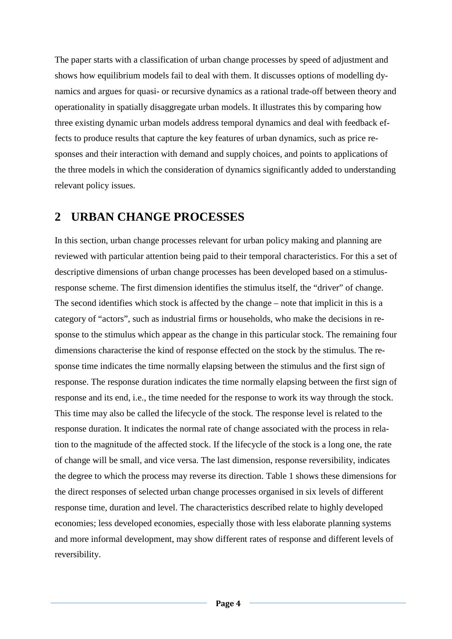The paper starts with a classification of urban change processes by speed of adjustment and shows how equilibrium models fail to deal with them. It discusses options of modelling dynamics and argues for quasi- or recursive dynamics as a rational trade-off between theory and operationality in spatially disaggregate urban models. It illustrates this by comparing how three existing dynamic urban models address temporal dynamics and deal with feedback effects to produce results that capture the key features of urban dynamics, such as price responses and their interaction with demand and supply choices, and points to applications of the three models in which the consideration of dynamics significantly added to understanding relevant policy issues.

## **2 URBAN CHANGE PROCESSES**

In this section, urban change processes relevant for urban policy making and planning are reviewed with particular attention being paid to their temporal characteristics. For this a set of descriptive dimensions of urban change processes has been developed based on a stimulusresponse scheme. The first dimension identifies the stimulus itself, the "driver" of change. The second identifies which stock is affected by the change – note that implicit in this is a category of "actors", such as industrial firms or households, who make the decisions in response to the stimulus which appear as the change in this particular stock. The remaining four dimensions characterise the kind of response effected on the stock by the stimulus. The response time indicates the time normally elapsing between the stimulus and the first sign of response. The response duration indicates the time normally elapsing between the first sign of response and its end, i.e., the time needed for the response to work its way through the stock. This time may also be called the lifecycle of the stock. The response level is related to the response duration. It indicates the normal rate of change associated with the process in relation to the magnitude of the affected stock. If the lifecycle of the stock is a long one, the rate of change will be small, and vice versa. The last dimension, response reversibility, indicates the degree to which the process may reverse its direction. Table 1 shows these dimensions for the direct responses of selected urban change processes organised in six levels of different response time, duration and level. The characteristics described relate to highly developed economies; less developed economies, especially those with less elaborate planning systems and more informal development, may show different rates of response and different levels of reversibility.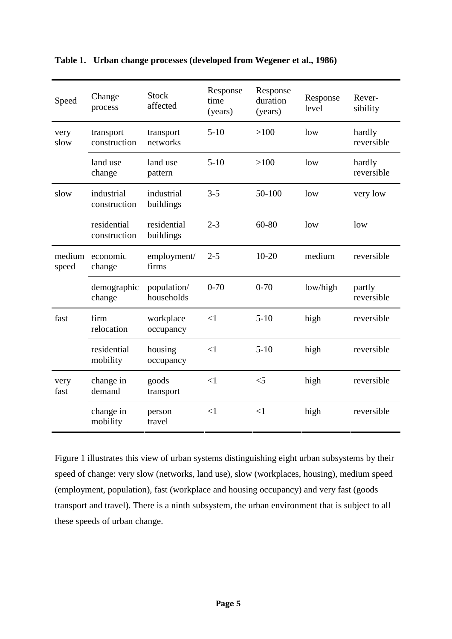| Speed           | Change<br>process           | <b>Stock</b><br>affected  | Response<br>time<br>(years) | Response<br>duration<br>(years) | Response<br>level | Rever-<br>sibility   |
|-----------------|-----------------------------|---------------------------|-----------------------------|---------------------------------|-------------------|----------------------|
| very<br>slow    | transport<br>construction   | transport<br>networks     | $5-10$                      | >100                            | low               | hardly<br>reversible |
|                 | land use<br>change          | land use<br>pattern       | $5 - 10$                    | >100                            | low               | hardly<br>reversible |
| slow            | industrial<br>construction  | industrial<br>buildings   | $3 - 5$                     | 50-100                          | low               | very low             |
|                 | residential<br>construction | residential<br>buildings  | $2 - 3$                     | $60 - 80$                       | low               | low                  |
| medium<br>speed | economic<br>change          | employment/<br>firms      | $2 - 5$                     | $10 - 20$                       | medium            | reversible           |
|                 | demographic<br>change       | population/<br>households | $0 - 70$                    | $0 - 70$                        | low/high          | partly<br>reversible |
| fast            | firm<br>relocation          | workplace<br>occupancy    | <1                          | $5 - 10$                        | high              | reversible           |
|                 | residential<br>mobility     | housing<br>occupancy      | $\leq$ 1                    | $5-10$                          | high              | reversible           |
| very<br>fast    | change in<br>demand         | goods<br>transport        | <1                          | $<$ 5                           | high              | reversible           |
|                 | change in<br>mobility       | person<br>travel          | $\leq$ 1                    | $\leq$ 1                        | high              | reversible           |

#### **Table 1. Urban change processes (developed from Wegener et al., 1986)**

Figure 1 illustrates this view of urban systems distinguishing eight urban subsystems by their speed of change: very slow (networks, land use), slow (workplaces, housing), medium speed (employment, population), fast (workplace and housing occupancy) and very fast (goods transport and travel). There is a ninth subsystem, the urban environment that is subject to all these speeds of urban change.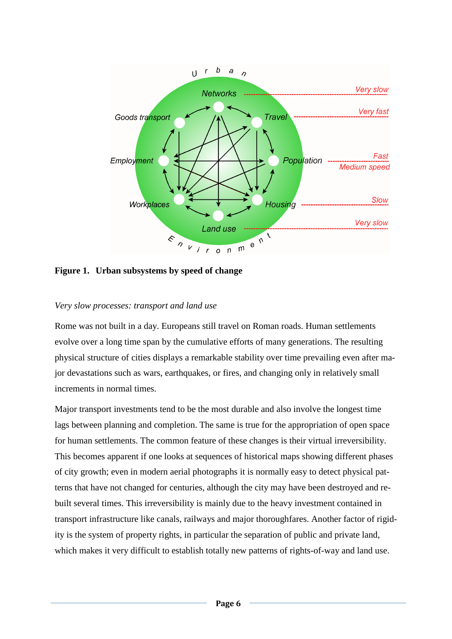

**Figure 1. Urban subsystems by speed of change** 

### *Very slow processes: transport and land use*

Rome was not built in a day. Europeans still travel on Roman roads. Human settlements evolve over a long time span by the cumulative efforts of many generations. The resulting physical structure of cities displays a remarkable stability over time prevailing even after major devastations such as wars, earthquakes, or fires, and changing only in relatively small increments in normal times.

Major transport investments tend to be the most durable and also involve the longest time lags between planning and completion. The same is true for the appropriation of open space for human settlements. The common feature of these changes is their virtual irreversibility. This becomes apparent if one looks at sequences of historical maps showing different phases of city growth; even in modern aerial photographs it is normally easy to detect physical patterns that have not changed for centuries, although the city may have been destroyed and rebuilt several times. This irreversibility is mainly due to the heavy investment contained in transport infrastructure like canals, railways and major thoroughfares. Another factor of rigidity is the system of property rights, in particular the separation of public and private land, which makes it very difficult to establish totally new patterns of rights-of-way and land use.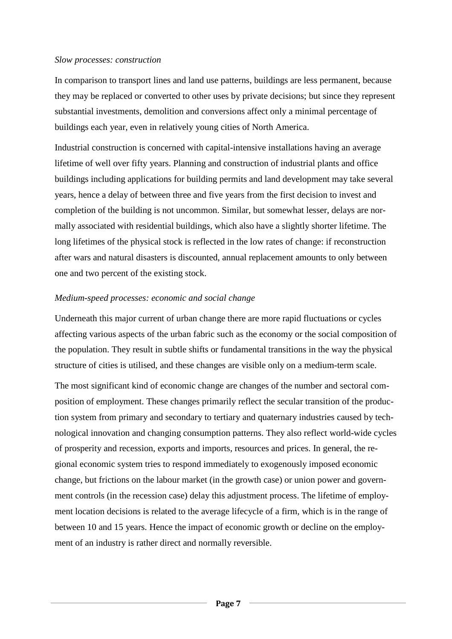#### *Slow processes: construction*

In comparison to transport lines and land use patterns, buildings are less permanent, because they may be replaced or converted to other uses by private decisions; but since they represent substantial investments, demolition and conversions affect only a minimal percentage of buildings each year, even in relatively young cities of North America.

Industrial construction is concerned with capital-intensive installations having an average lifetime of well over fifty years. Planning and construction of industrial plants and office buildings including applications for building permits and land development may take several years, hence a delay of between three and five years from the first decision to invest and completion of the building is not uncommon. Similar, but somewhat lesser, delays are normally associated with residential buildings, which also have a slightly shorter lifetime. The long lifetimes of the physical stock is reflected in the low rates of change: if reconstruction after wars and natural disasters is discounted, annual replacement amounts to only between one and two percent of the existing stock.

### *Medium-speed processes: economic and social change*

Underneath this major current of urban change there are more rapid fluctuations or cycles affecting various aspects of the urban fabric such as the economy or the social composition of the population. They result in subtle shifts or fundamental transitions in the way the physical structure of cities is utilised, and these changes are visible only on a medium-term scale.

The most significant kind of economic change are changes of the number and sectoral composition of employment. These changes primarily reflect the secular transition of the production system from primary and secondary to tertiary and quaternary industries caused by technological innovation and changing consumption patterns. They also reflect world-wide cycles of prosperity and recession, exports and imports, resources and prices. In general, the regional economic system tries to respond immediately to exogenously imposed economic change, but frictions on the labour market (in the growth case) or union power and government controls (in the recession case) delay this adjustment process. The lifetime of employment location decisions is related to the average lifecycle of a firm, which is in the range of between 10 and 15 years. Hence the impact of economic growth or decline on the employment of an industry is rather direct and normally reversible.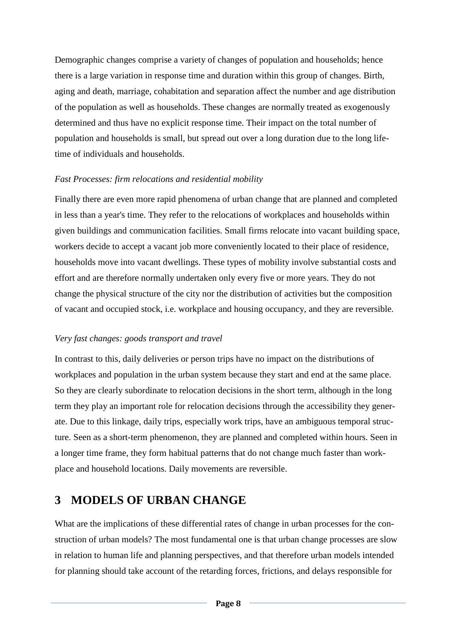Demographic changes comprise a variety of changes of population and households; hence there is a large variation in response time and duration within this group of changes. Birth, aging and death, marriage, cohabitation and separation affect the number and age distribution of the population as well as households. These changes are normally treated as exogenously determined and thus have no explicit response time. Their impact on the total number of population and households is small, but spread out over a long duration due to the long lifetime of individuals and households.

### *Fast Processes: firm relocations and residential mobility*

Finally there are even more rapid phenomena of urban change that are planned and completed in less than a year's time. They refer to the relocations of workplaces and households within given buildings and communication facilities. Small firms relocate into vacant building space, workers decide to accept a vacant job more conveniently located to their place of residence, households move into vacant dwellings. These types of mobility involve substantial costs and effort and are therefore normally undertaken only every five or more years. They do not change the physical structure of the city nor the distribution of activities but the composition of vacant and occupied stock, i.e. workplace and housing occupancy, and they are reversible.

### *Very fast changes: goods transport and travel*

In contrast to this, daily deliveries or person trips have no impact on the distributions of workplaces and population in the urban system because they start and end at the same place. So they are clearly subordinate to relocation decisions in the short term, although in the long term they play an important role for relocation decisions through the accessibility they generate. Due to this linkage, daily trips, especially work trips, have an ambiguous temporal structure. Seen as a short-term phenomenon, they are planned and completed within hours. Seen in a longer time frame, they form habitual patterns that do not change much faster than workplace and household locations. Daily movements are reversible.

## **3 MODELS OF URBAN CHANGE**

What are the implications of these differential rates of change in urban processes for the construction of urban models? The most fundamental one is that urban change processes are slow in relation to human life and planning perspectives, and that therefore urban models intended for planning should take account of the retarding forces, frictions, and delays responsible for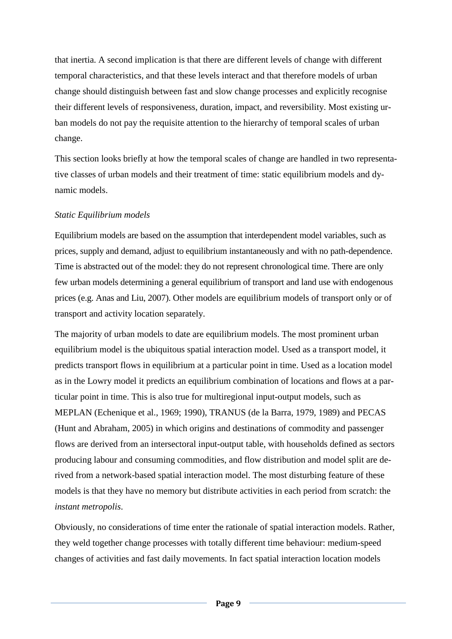that inertia. A second implication is that there are different levels of change with different temporal characteristics, and that these levels interact and that therefore models of urban change should distinguish between fast and slow change processes and explicitly recognise their different levels of responsiveness, duration, impact, and reversibility. Most existing urban models do not pay the requisite attention to the hierarchy of temporal scales of urban change.

This section looks briefly at how the temporal scales of change are handled in two representative classes of urban models and their treatment of time: static equilibrium models and dynamic models.

### *Static Equilibrium models*

Equilibrium models are based on the assumption that interdependent model variables, such as prices, supply and demand, adjust to equilibrium instantaneously and with no path-dependence. Time is abstracted out of the model: they do not represent chronological time. There are only few urban models determining a general equilibrium of transport and land use with endogenous prices (e.g. Anas and Liu, 2007). Other models are equilibrium models of transport only or of transport and activity location separately.

The majority of urban models to date are equilibrium models. The most prominent urban equilibrium model is the ubiquitous spatial interaction model. Used as a transport model, it predicts transport flows in equilibrium at a particular point in time. Used as a location model as in the Lowry model it predicts an equilibrium combination of locations and flows at a particular point in time. This is also true for multiregional input-output models, such as MEPLAN (Echenique et al., 1969; 1990), TRANUS (de la Barra, 1979, 1989) and PECAS (Hunt and Abraham, 2005) in which origins and destinations of commodity and passenger flows are derived from an intersectoral input-output table, with households defined as sectors producing labour and consuming commodities, and flow distribution and model split are derived from a network-based spatial interaction model. The most disturbing feature of these models is that they have no memory but distribute activities in each period from scratch: the *instant metropolis*.

Obviously, no considerations of time enter the rationale of spatial interaction models. Rather, they weld together change processes with totally different time behaviour: medium-speed changes of activities and fast daily movements. In fact spatial interaction location models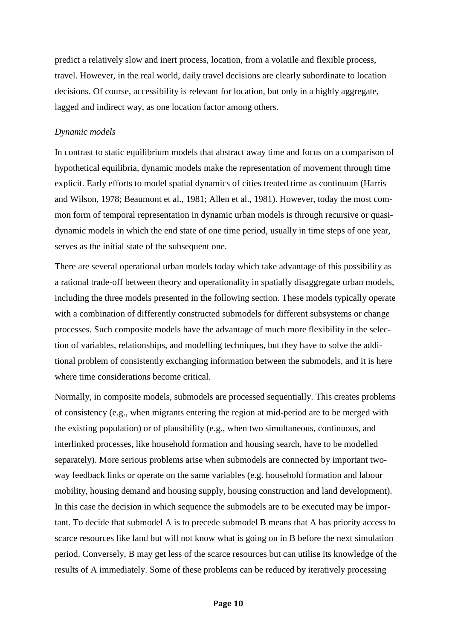predict a relatively slow and inert process, location, from a volatile and flexible process, travel. However, in the real world, daily travel decisions are clearly subordinate to location decisions. Of course, accessibility is relevant for location, but only in a highly aggregate, lagged and indirect way, as one location factor among others.

### *Dynamic models*

In contrast to static equilibrium models that abstract away time and focus on a comparison of hypothetical equilibria, dynamic models make the representation of movement through time explicit. Early efforts to model spatial dynamics of cities treated time as continuum (Harris and Wilson, 1978; Beaumont et al., 1981; Allen et al., 1981). However, today the most common form of temporal representation in dynamic urban models is through recursive or quasidynamic models in which the end state of one time period, usually in time steps of one year, serves as the initial state of the subsequent one.

There are several operational urban models today which take advantage of this possibility as a rational trade-off between theory and operationality in spatially disaggregate urban models, including the three models presented in the following section. These models typically operate with a combination of differently constructed submodels for different subsystems or change processes. Such composite models have the advantage of much more flexibility in the selection of variables, relationships, and modelling techniques, but they have to solve the additional problem of consistently exchanging information between the submodels, and it is here where time considerations become critical.

Normally, in composite models, submodels are processed sequentially. This creates problems of consistency (e.g., when migrants entering the region at mid-period are to be merged with the existing population) or of plausibility (e.g., when two simultaneous, continuous, and interlinked processes, like household formation and housing search, have to be modelled separately). More serious problems arise when submodels are connected by important twoway feedback links or operate on the same variables (e.g. household formation and labour mobility, housing demand and housing supply, housing construction and land development). In this case the decision in which sequence the submodels are to be executed may be important. To decide that submodel A is to precede submodel B means that A has priority access to scarce resources like land but will not know what is going on in B before the next simulation period. Conversely, B may get less of the scarce resources but can utilise its knowledge of the results of A immediately. Some of these problems can be reduced by iteratively processing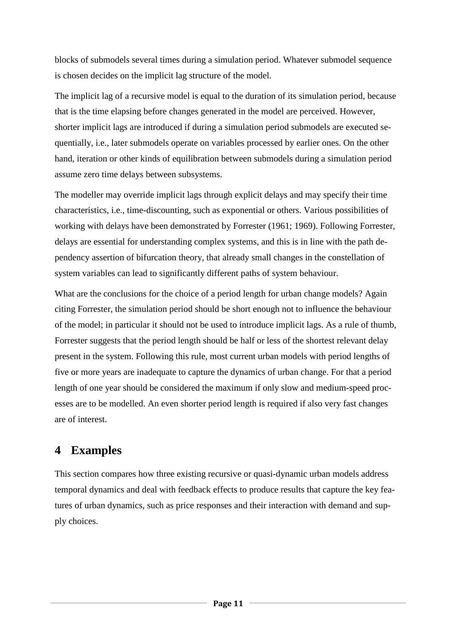blocks of submodels several times during a simulation period. Whatever submodel sequence is chosen decides on the implicit lag structure of the model.

The implicit lag of a recursive model is equal to the duration of its simulation period, because that is the time elapsing before changes generated in the model are perceived. However, shorter implicit lags are introduced if during a simulation period submodels are executed sequentially, i.e., later submodels operate on variables processed by earlier ones. On the other hand, iteration or other kinds of equilibration between submodels during a simulation period assume zero time delays between subsystems.

The modeller may override implicit lags through explicit delays and may specify their time characteristics, i.e., time-discounting, such as exponential or others. Various possibilities of working with delays have been demonstrated by Forrester (1961; 1969). Following Forrester, delays are essential for understanding complex systems, and this is in line with the path dependency assertion of bifurcation theory, that already small changes in the constellation of system variables can lead to significantly different paths of system behaviour.

What are the conclusions for the choice of a period length for urban change models? Again citing Forrester, the simulation period should be short enough not to influence the behaviour of the model; in particular it should not be used to introduce implicit lags. As a rule of thumb, Forrester suggests that the period length should be half or less of the shortest relevant delay present in the system. Following this rule, most current urban models with period lengths of five or more years are inadequate to capture the dynamics of urban change. For that a period length of one year should be considered the maximum if only slow and medium-speed processes are to be modelled. An even shorter period length is required if also very fast changes are of interest.

# **4 Examples**

This section compares how three existing recursive or quasi-dynamic urban models address temporal dynamics and deal with feedback effects to produce results that capture the key features of urban dynamics, such as price responses and their interaction with demand and supply choices.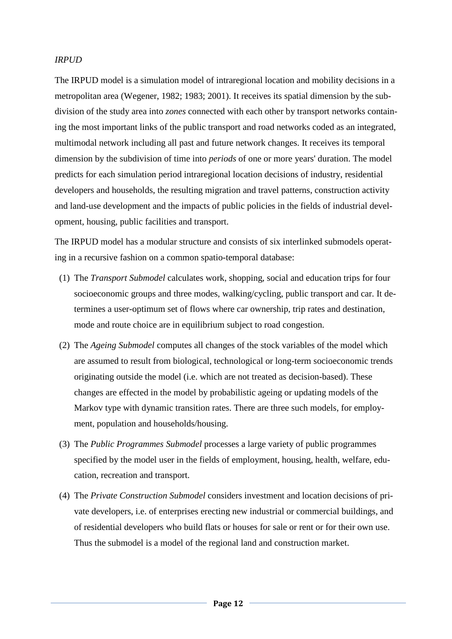### *IRPUD*

The IRPUD model is a simulation model of intraregional location and mobility decisions in a metropolitan area (Wegener, 1982; 1983; 2001). It receives its spatial dimension by the subdivision of the study area into *zones* connected with each other by transport networks containing the most important links of the public transport and road networks coded as an integrated, multimodal network including all past and future network changes. It receives its temporal dimension by the subdivision of time into *periods* of one or more years' duration. The model predicts for each simulation period intraregional location decisions of industry, residential developers and households, the resulting migration and travel patterns, construction activity and land-use development and the impacts of public policies in the fields of industrial development, housing, public facilities and transport.

The IRPUD model has a modular structure and consists of six interlinked submodels operating in a recursive fashion on a common spatio-temporal database:

- (1) The *Transport Submodel* calculates work, shopping, social and education trips for four socioeconomic groups and three modes, walking/cycling, public transport and car. It determines a user-optimum set of flows where car ownership, trip rates and destination, mode and route choice are in equilibrium subject to road congestion.
- (2) The *Ageing Submodel* computes all changes of the stock variables of the model which are assumed to result from biological, technological or long-term socioeconomic trends originating outside the model (i.e. which are not treated as decision-based). These changes are effected in the model by probabilistic ageing or updating models of the Markov type with dynamic transition rates. There are three such models, for employment, population and households/housing.
- (3) The *Public Programmes Submodel* processes a large variety of public programmes specified by the model user in the fields of employment, housing, health, welfare, education, recreation and transport.
- (4) The *Private Construction Submodel* considers investment and location decisions of private developers, i.e. of enterprises erecting new industrial or commercial buildings, and of residential developers who build flats or houses for sale or rent or for their own use. Thus the submodel is a model of the regional land and construction market.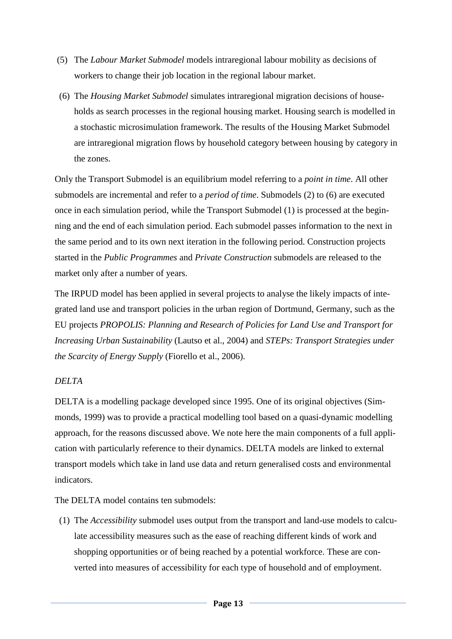- (5) The *Labour Market Submodel* models intraregional labour mobility as decisions of workers to change their job location in the regional labour market.
- (6) The *Housing Market Submodel* simulates intraregional migration decisions of households as search processes in the regional housing market. Housing search is modelled in a stochastic microsimulation framework. The results of the Housing Market Submodel are intraregional migration flows by household category between housing by category in the zones.

Only the Transport Submodel is an equilibrium model referring to a *point in time*. All other submodels are incremental and refer to a *period of time*. Submodels (2) to (6) are executed once in each simulation period, while the Transport Submodel (1) is processed at the beginning and the end of each simulation period. Each submodel passes information to the next in the same period and to its own next iteration in the following period. Construction projects started in the *Public Programmes* and *Private Construction* submodels are released to the market only after a number of years.

The IRPUD model has been applied in several projects to analyse the likely impacts of integrated land use and transport policies in the urban region of Dortmund, Germany, such as the EU projects *PROPOLIS: Planning and Research of Policies for Land Use and Transport for Increasing Urban Sustainability* (Lautso et al., 2004) and *STEPs: Transport Strategies under the Scarcity of Energy Supply* (Fiorello et al., 2006).

### *DELTA*

DELTA is a modelling package developed since 1995. One of its original objectives (Simmonds, 1999) was to provide a practical modelling tool based on a quasi-dynamic modelling approach, for the reasons discussed above. We note here the main components of a full application with particularly reference to their dynamics. DELTA models are linked to external transport models which take in land use data and return generalised costs and environmental indicators.

The DELTA model contains ten submodels:

 (1) The *Accessibility* submodel uses output from the transport and land-use models to calculate accessibility measures such as the ease of reaching different kinds of work and shopping opportunities or of being reached by a potential workforce. These are converted into measures of accessibility for each type of household and of employment.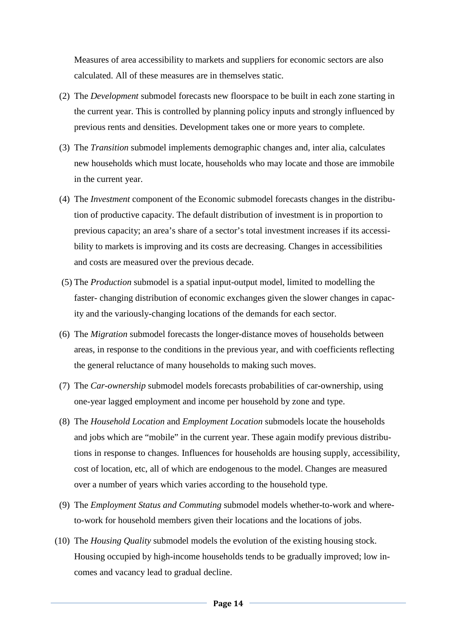Measures of area accessibility to markets and suppliers for economic sectors are also calculated. All of these measures are in themselves static.

- (2) The *Development* submodel forecasts new floorspace to be built in each zone starting in the current year. This is controlled by planning policy inputs and strongly influenced by previous rents and densities. Development takes one or more years to complete.
- (3) The *Transition* submodel implements demographic changes and, inter alia, calculates new households which must locate, households who may locate and those are immobile in the current year.
- (4) The *Investment* component of the Economic submodel forecasts changes in the distribution of productive capacity. The default distribution of investment is in proportion to previous capacity; an area's share of a sector's total investment increases if its accessibility to markets is improving and its costs are decreasing. Changes in accessibilities and costs are measured over the previous decade.
- (5) The *Production* submodel is a spatial input-output model, limited to modelling the faster- changing distribution of economic exchanges given the slower changes in capacity and the variously-changing locations of the demands for each sector.
- (6) The *Migration* submodel forecasts the longer-distance moves of households between areas, in response to the conditions in the previous year, and with coefficients reflecting the general reluctance of many households to making such moves.
- (7) The *Car-ownership* submodel models forecasts probabilities of car-ownership, using one-year lagged employment and income per household by zone and type.
- (8) The *Household Location* and *Employment Location* submodels locate the households and jobs which are "mobile" in the current year. These again modify previous distributions in response to changes. Influences for households are housing supply, accessibility, cost of location, etc, all of which are endogenous to the model. Changes are measured over a number of years which varies according to the household type.
- (9) The *Employment Status and Commuting* submodel models whether-to-work and whereto-work for household members given their locations and the locations of jobs.
- (10) The *Housing Quality* submodel models the evolution of the existing housing stock. Housing occupied by high-income households tends to be gradually improved; low incomes and vacancy lead to gradual decline.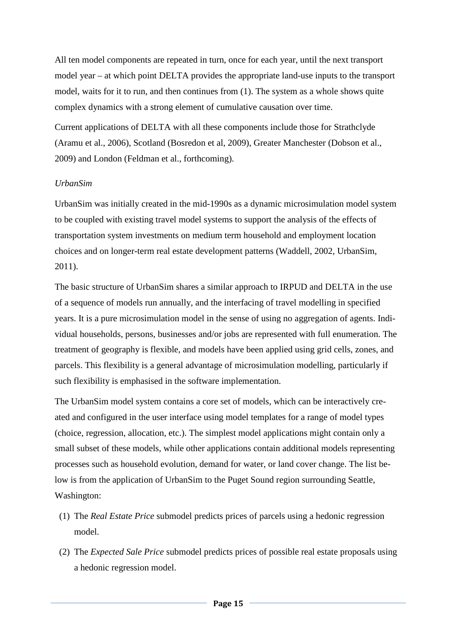All ten model components are repeated in turn, once for each year, until the next transport model year – at which point DELTA provides the appropriate land-use inputs to the transport model, waits for it to run, and then continues from (1). The system as a whole shows quite complex dynamics with a strong element of cumulative causation over time.

Current applications of DELTA with all these components include those for Strathclyde (Aramu et al., 2006), Scotland (Bosredon et al, 2009), Greater Manchester (Dobson et al., 2009) and London (Feldman et al., forthcoming).

### *UrbanSim*

UrbanSim was initially created in the mid-1990s as a dynamic microsimulation model system to be coupled with existing travel model systems to support the analysis of the effects of transportation system investments on medium term household and employment location choices and on longer-term real estate development patterns (Waddell, 2002, UrbanSim, 2011).

The basic structure of UrbanSim shares a similar approach to IRPUD and DELTA in the use of a sequence of models run annually, and the interfacing of travel modelling in specified years. It is a pure microsimulation model in the sense of using no aggregation of agents. Individual households, persons, businesses and/or jobs are represented with full enumeration. The treatment of geography is flexible, and models have been applied using grid cells, zones, and parcels. This flexibility is a general advantage of microsimulation modelling, particularly if such flexibility is emphasised in the software implementation.

The UrbanSim model system contains a core set of models, which can be interactively created and configured in the user interface using model templates for a range of model types (choice, regression, allocation, etc.). The simplest model applications might contain only a small subset of these models, while other applications contain additional models representing processes such as household evolution, demand for water, or land cover change. The list below is from the application of UrbanSim to the Puget Sound region surrounding Seattle, Washington:

- (1) The *Real Estate Price* submodel predicts prices of parcels using a hedonic regression model.
- (2) The *Expected Sale Price* submodel predicts prices of possible real estate proposals using a hedonic regression model.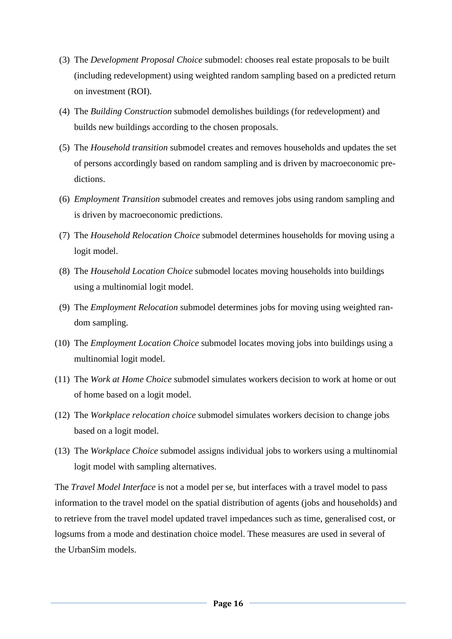- (3) The *Development Proposal Choice* submodel: chooses real estate proposals to be built (including redevelopment) using weighted random sampling based on a predicted return on investment (ROI).
- (4) The *Building Construction* submodel demolishes buildings (for redevelopment) and builds new buildings according to the chosen proposals.
- (5) The *Household transition* submodel creates and removes households and updates the set of persons accordingly based on random sampling and is driven by macroeconomic predictions.
- (6) *Employment Transition* submodel creates and removes jobs using random sampling and is driven by macroeconomic predictions.
- (7) The *Household Relocation Choice* submodel determines households for moving using a logit model.
- (8) The *Household Location Choice* submodel locates moving households into buildings using a multinomial logit model.
- (9) The *Employment Relocation* submodel determines jobs for moving using weighted random sampling.
- (10) The *Employment Location Choice* submodel locates moving jobs into buildings using a multinomial logit model.
- (11) The *Work at Home Choice* submodel simulates workers decision to work at home or out of home based on a logit model.
- (12) The *Workplace relocation choice* submodel simulates workers decision to change jobs based on a logit model.
- (13) The *Workplace Choice* submodel assigns individual jobs to workers using a multinomial logit model with sampling alternatives.

The *Travel Model Interface* is not a model per se, but interfaces with a travel model to pass information to the travel model on the spatial distribution of agents (jobs and households) and to retrieve from the travel model updated travel impedances such as time, generalised cost, or logsums from a mode and destination choice model. These measures are used in several of the UrbanSim models.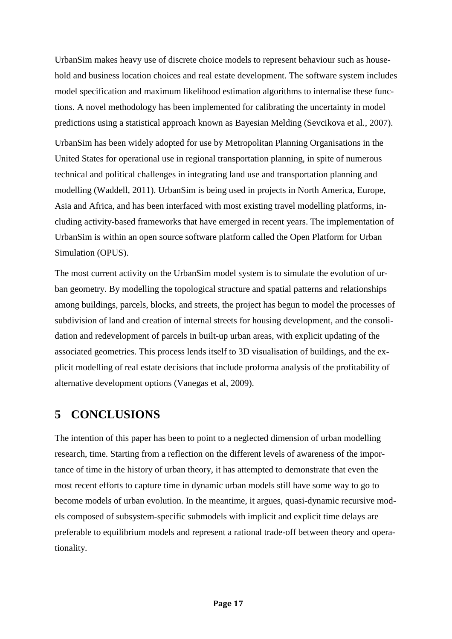UrbanSim makes heavy use of discrete choice models to represent behaviour such as household and business location choices and real estate development. The software system includes model specification and maximum likelihood estimation algorithms to internalise these functions. A novel methodology has been implemented for calibrating the uncertainty in model predictions using a statistical approach known as Bayesian Melding (Sevcikova et al*.*, 2007).

UrbanSim has been widely adopted for use by Metropolitan Planning Organisations in the United States for operational use in regional transportation planning, in spite of numerous technical and political challenges in integrating land use and transportation planning and modelling (Waddell, 2011). UrbanSim is being used in projects in North America, Europe, Asia and Africa, and has been interfaced with most existing travel modelling platforms, including activity-based frameworks that have emerged in recent years. The implementation of UrbanSim is within an open source software platform called the Open Platform for Urban Simulation (OPUS).

The most current activity on the UrbanSim model system is to simulate the evolution of urban geometry. By modelling the topological structure and spatial patterns and relationships among buildings, parcels, blocks, and streets, the project has begun to model the processes of subdivision of land and creation of internal streets for housing development, and the consolidation and redevelopment of parcels in built-up urban areas, with explicit updating of the associated geometries. This process lends itself to 3D visualisation of buildings, and the explicit modelling of real estate decisions that include proforma analysis of the profitability of alternative development options (Vanegas et al, 2009).

# **5 CONCLUSIONS**

The intention of this paper has been to point to a neglected dimension of urban modelling research, time. Starting from a reflection on the different levels of awareness of the importance of time in the history of urban theory, it has attempted to demonstrate that even the most recent efforts to capture time in dynamic urban models still have some way to go to become models of urban evolution. In the meantime, it argues, quasi-dynamic recursive models composed of subsystem-specific submodels with implicit and explicit time delays are preferable to equilibrium models and represent a rational trade-off between theory and operationality.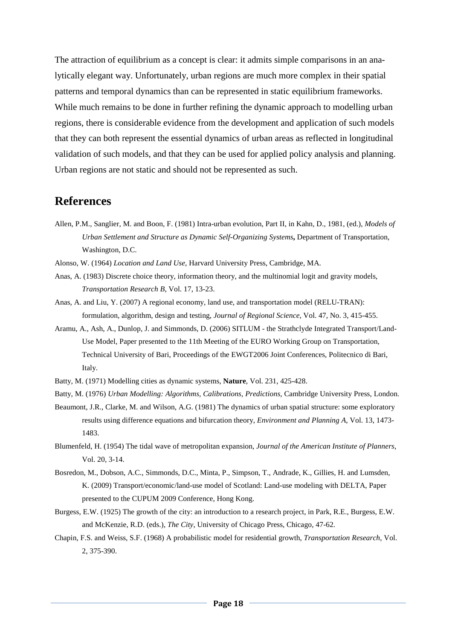The attraction of equilibrium as a concept is clear: it admits simple comparisons in an analytically elegant way. Unfortunately, urban regions are much more complex in their spatial patterns and temporal dynamics than can be represented in static equilibrium frameworks. While much remains to be done in further refining the dynamic approach to modelling urban regions, there is considerable evidence from the development and application of such models that they can both represent the essential dynamics of urban areas as reflected in longitudinal validation of such models, and that they can be used for applied policy analysis and planning. Urban regions are not static and should not be represented as such.

### **References**

- Allen, P.M., Sanglier, M. and Boon, F. (1981) Intra-urban evolution, Part II, in Kahn, D., 1981, (ed.), *Models of Urban Settlement and Structure as Dynamic Self-Organizing Systems***,** Department of Transportation, Washington, D.C.
- Alonso, W. (1964) *Location and Land Use*, Harvard University Press, Cambridge, MA.
- Anas, A. (1983) Discrete choice theory, information theory, and the multinomial logit and gravity models, *Transportation Research B*, Vol. 17, 13-23.
- Anas, A. and Liu, Y. (2007) A regional economy, land use, and transportation model (RELU-TRAN): formulation, algorithm, design and testing, *Journal of Regional Science*, Vol. 47, No. 3, 415-455.
- Aramu, A., Ash, A., Dunlop, J. and Simmonds, D. (2006) SITLUM the Strathclyde Integrated Transport/Land-Use Model, Paper presented to the 11th Meeting of the EURO Working Group on Transportation, Technical University of Bari, Proceedings of the EWGT2006 Joint Conferences, Politecnico di Bari, Italy.
- Batty, M. (1971) Modelling cities as dynamic systems, **Nature**, Vol. 231, 425-428.
- Batty, M. (1976) *Urban Modelling: Algorithms, Calibrations, Predictions*, Cambridge University Press, London.
- Beaumont, J.R., Clarke, M. and Wilson, A.G. (1981) The dynamics of urban spatial structure: some exploratory results using difference equations and bifurcation theory, *Environment and Planning A*, Vol. 13, 1473- 1483.
- Blumenfeld, H. (1954) The tidal wave of metropolitan expansion, *Journal of the American Institute of Planners*, Vol. 20, 3-14.
- Bosredon, M., Dobson, A.C., Simmonds, D.C., Minta, P., Simpson, T., Andrade, K., Gillies, H. and Lumsden, K. (2009) Transport/economic/land-use model of Scotland: Land-use modeling with DELTA, Paper presented to the CUPUM 2009 Conference, Hong Kong.
- Burgess, E.W. (1925) The growth of the city: an introduction to a research project, in Park, R.E., Burgess, E.W. and McKenzie, R.D. (eds.), *The City*, University of Chicago Press, Chicago, 47-62.
- Chapin, F.S. and Weiss, S.F. (1968) A probabilistic model for residential growth, *Transportation Research*, Vol. 2, 375-390.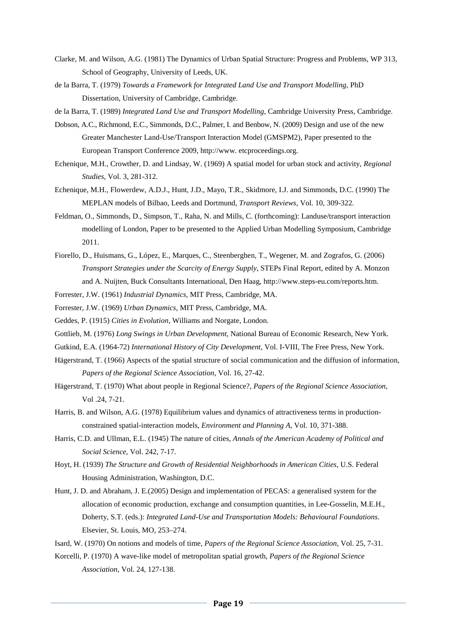- Clarke, M. and Wilson, A.G. (1981) The Dynamics of Urban Spatial Structure: Progress and Problems, WP 313, School of Geography, University of Leeds, UK.
- de la Barra, T. (1979) *Towards a Framework for Integrated Land Use and Transport Modelling*, PhD Dissertation, University of Cambridge, Cambridge.

de la Barra, T. (1989) *Integrated Land Use and Transport Modelling*, Cambridge University Press, Cambridge.

- Dobson, A.C., Richmond, E.C., Simmonds, D.C., Palmer, I. and Benbow, N. (2009) Design and use of the new Greater Manchester Land-Use/Transport Interaction Model (GMSPM2), Paper presented to the European Transport Conference 2009, http://www. etcproceedings.org.
- Echenique, M.H., Crowther, D. and Lindsay, W. (1969) A spatial model for urban stock and activity, *Regional Studies*, Vol. 3, 281-312.
- Echenique, M.H., Flowerdew, A.D.J., Hunt, J.D., Mayo, T.R., Skidmore, I.J. and Simmonds, D.C. (1990) The MEPLAN models of Bilbao, Leeds and Dortmund, *Transport Reviews*, Vol. 10, 309-322.
- Feldman, O., Simmonds, D., Simpson, T., Raha, N. and Mills, C. (forthcoming): Landuse/transport interaction modelling of London, Paper to be presented to the Applied Urban Modelling Symposium, Cambridge 2011.
- Fiorello, D., Huismans, G., López, E., Marques, C., Steenberghen, T., Wegener, M. and Zografos, G. (2006) *Transport Strategies under the Scarcity of Energy Supply*, STEPs Final Report, edited by A. Monzon and A. Nuijten, Buck Consultants International, Den Haag, http://www.steps-eu.com/reports.htm.

Forrester, J.W. (1961) *Industrial Dynamics*, MIT Press, Cambridge, MA.

Forrester, J.W. (1969) *Urban Dynamics*, MIT Press, Cambridge, MA.

Geddes, P. (1915) *Cities in Evolution*, Williams and Norgate, London.

- Gottlieb, M. (1976) *Long Swings in Urban Development*, National Bureau of Economic Research, New York.
- Gutkind, E.A. (1964-72) *International History of City Development*, Vol. I-VIII, The Free Press, New York.
- Hägerstrand, T. (1966) Aspects of the spatial structure of social communication and the diffusion of information, *Papers of the Regional Science Association*, Vol. 16, 27-42.
- Hägerstrand, T. (1970) What about people in Regional Science?, *Papers of the Regional Science Association*, Vol .24, 7-21.
- Harris, B. and Wilson, A.G. (1978) Equilibrium values and dynamics of attractiveness terms in productionconstrained spatial-interaction models, *Environment and Planning A*, Vol. 10, 371-388.
- Harris, C.D. and Ullman, E.L. (1945) The nature of cities, *Annals of the American Academy of Political and Social Science*, Vol. 242, 7-17.
- Hoyt, H. (1939) *The Structure and Growth of Residential Neighborhoods in American Cities*, U.S. Federal Housing Administration, Washington, D.C.
- Hunt, J. D. and Abraham, J. E.(2005) Design and implementation of PECAS: a generalised system for the allocation of economic production, exchange and consumption quantities, in Lee-Gosselin, M.E.H., Doherty, S.T. (eds.): *Integrated Land-Use and Transportation Models: Behavioural Foundations*. Elsevier, St. Louis, MO, 253–274.
- Isard, W. (1970) On notions and models of time, *Papers of the Regional Science Association*, Vol. 25, 7-31.
- Korcelli, P. (1970) A wave-like model of metropolitan spatial growth, *Papers of the Regional Science Association*, Vol. 24, 127-138.